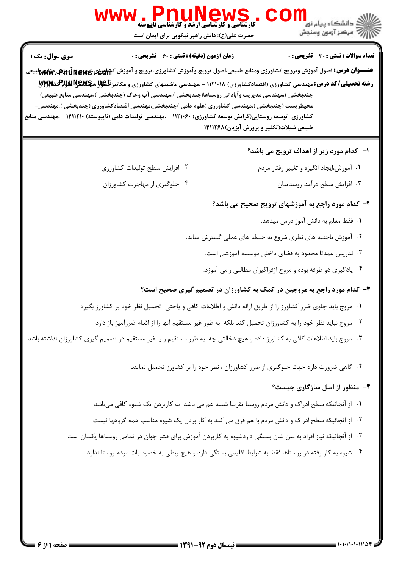

.<br>د انشگاه سام نو<mark>ر</mark> الآرآه مركز آزمون وسنجش

**زمان آزمون (دقیقه) : تستی : 60 گشریحی: 0** 

WWW . PnuMews

<del>عنــــوان درس:</del> اصول آموزش وترويج كشاورزي ومنابع طبيعي،اصول ترويج وآموزش كشاورزي،ترويج و آموزش ك<del>شاورني،تروپچ@jat</del>Ja في منابههابيعي **رشته تحصیلی/کد درس:**مهندسی کشاورزی (اقتصادکشاورزی) ۱۱۲۱۰۱۸ - ،مهندسی ماشینهای کشاورزی و مکانیز <del>بالیولا مهایا بالایلم به کل</del>اتلام بهای چندبخشی )،مهندسی مدیریت وآبادانی روستاها(چندبخشی )،مهندسی آب وخاک (چندبخشی )،مهندسی منابع طبیعی) محیطزیست (چندبخشی )،مهندسی کشاورزی (علوم دامی )چندبخشی،مهندسی اقتصادکشاورزی (چندبخشی )،مهندسی– کشاورزی-توسعه روستایی(گرایش توسعه کشاورزی) ۱۱۲۱۰۶۰ - ،مهندسی تولیدات دامی (ناپیوسته) ۱۴۱۱۲۱۰ - ،مهندسی منابع طبیعی شیلات(تکثیر و پرورش آبزیان)۱۴۱۱۲۶۸

حضرت علی(ع): دانش راهبر نیکویی برای ایمان است

ا- کدام مورد زیر از اهداف ترویج می باشد؟

- ۰۱ آموزش،ایجاد انگیزه و تغییر رفتار مردم
	- ۰۳ افزایش سطح درآمد روستاییان

۰۴ جلوگیری از مهاجرت کشاورزان

٠٢ افزايش سطح توليدات كشاورزى

### ۲- کدام مورد راجع به آموزشهای ترویج صحیح می باشد؟

- ٠١. فقط معلم به دانش آموز درس ميدهد.
- ۰۲ آموزش باجنبه های نظری شروع به حیطه های عملی گسترش میابد.
	- ۰۳ تدریس عمدتا محدود به فضای داخلی موسسه آموزشی است.
	- ۰۴ پادگیری دو طرفه بوده و مروج ازفراگیران مطالبی رامی آموزد.

## ۳- کدام مورد راجع به مروجین در کمک به کشاورزان در تصمیم گیری صحیح است؟

- ۰۱ مروج باید جلوی ضرر کشاورز را از طریق ارائه دانش و اطلاعات کافی و پاحتی تحمیل نظر خود بر کشاورز بگیرد
	- ٢٠- مروج نبايد نظر خود را به كشاورزان تحميل كند بلكه به طور غير مستقيم آنها را از اقدام ضررآميز باز دارد
- ۰۳ مروج باید اطلاعات کافی به کشاورز داده و هیچ دخالتی چه به طور مستقیم و یا غیر مستقیم در تصمیم گیری کشاورزان نداشته باشد

۰۴ گاهی ضرورت دارد جهت جلوگیری از ضرر کشاورزان ، نظر خود را بر کشاورز تحمیل نمایند

#### ۴- منظور از اصل سازگاری چیست؟

- ١. از آنجائيكه سطح ادراك و دانش مردم روستا تقريبا شبيه هم مي باشد به كاربردن يك شيوه كافي مي باشد
- ٢٠- از آنجائيكه سطح ادراك و دانش مردم با هم فرق مي كند به كار بردن يک شيوه مناسب همه گروهها نيست
- ۰۳ از آنجائیکه نیاز افراد به سن شان بستگی داردشیوه به کاربردن آموزش برای قشر جوان در تمامی روستاها یکسان است
	- ۰۴ شیوه به کار رفته در روستاها فقط به شرایط اقلیمی بستگی دارد و هیچ ربطی به خصوصیات مردم روستا ندارد

سری سوال : یک ۱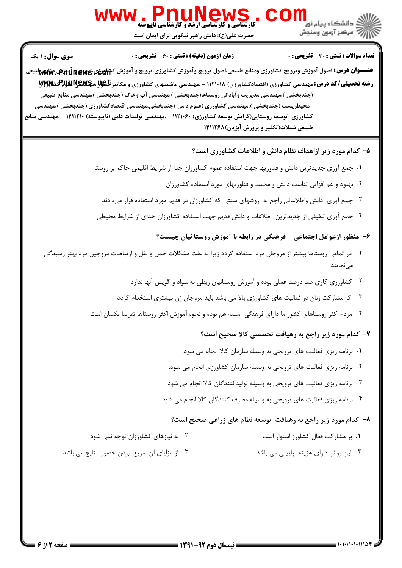

WWW . PnuMews

حضرت علی(ع): دانش راهبر نیکویی برای ایمان است

تعداد سوالات : تستى : 30 - تشريحي : 0

**زمان آزمون (دقیقه) : تستی : 60 گشریحی: 0** 

<del>عنــــوان درس:</del> اصول آموزش وترويج كشاورزي ومنابع طبيعي،اصول ترويج وآموزش كشاورزي،ترويج و آموزش ك<del>شاورني،تروپچ@jat</del>Ja في منابههابيعي **رشته تحصیلی/کد درس:**مهندسی کشاورزی (اقتصادکشاورزی) ۱۱۲۱۰۱۸ - ،مهندسی ماشینهای کشاورزی و مکانیز **بل<u>هود</u> مچکلایالیاپت**هگیلایا (چندبخشي )،مهندسي مديريت وآباداني روستاها(چندبخشي )،مهندسي آب وخاک (چندبخشي )،مهندسي منابع طبيعي –محیطزیست (چندبخشی )،مهندسی کشاورزی (علوم دامی )چندبخشی،مهندسی اقتصادکشاورزی (چندبخشی )،مهندسی کشاورزی-توسعه روستایی(گرایش توسعه کشاورزی) ۱۱۲۱۰۶۰ - ،مهندسی تولیدات دامی (ناپیوسته) ۱۴۱۱۲۱۰ - ،مهندسی منابع طبیعی شیلات(تکثیر و پرورش آبزیان)۱۴۱۱۲۶۸

۵- کدام مورد زیر ازاهداف نظام دانش و اطلاعات کشاورزی است؟

١. جمع آوري جديدترين دانش و فناوريها جهت استفاده عموم كشاورزان جدا از شرايط اقليمي حاكم بر روستا

۲. بهبود و هم افزایی تناسب دانش و محیط و فناوریهای مورد استفاده کشاورزان

۰۳ جمع آوری دانش واطلاعاتی راجع به روشهای سنتی که کشاورزان در قدیم مورد استفاده قرار میدادند

۰۴ جمع آوری تلفیقی از جدیدترین اطلاعات و دانش قدیم جهت استفاده کشاورزان جدای از شرایط محیطی

۶– منظور ازعوامل اجتماعی - فرهنگی در رابطه با آموزش روستا ئیان چیست؟

- ۰۱ در تمامی روستاها بیشتر از مروجان مرد استفاده گردد زیرا به علت مشکلات حمل و نقل و ارتباطات مروجین مرد بهتر رسیدگی مے نمایند
	- ۲. کشاورزی کاری صد درصد عملی بوده و آموزش روستائیان ربطی به سواد و گویش آنها ندارد
	- ۰۳ اگر مشارکت زنان در فعالیت های کشاورزی بالا می باشد باید مروجان زن بیشتری استخدام گردد
	- ۰۴ مردم اکثر روستاهای کشور ما دارای فرهنگی شبیه هم بوده و نحوه آموزش اکثر روستاها تقریبا یکسان است

## ۷- کدام مورد زیر راجع به رهیافت تخصصی کالا صحیح است؟

- ٠. برنامه ریزی فعالیت های ترویجی به وسیله سازمان کالا انجام می شود.
- ۰۲ برنامه ریزی فعالیت های ترویجی به وسیله سازمان کشاورزی انجام می شود.
- ۰۳ برنامه ریزی فعالیت های ترویجی به وسیله تولیدکنندگان کالا انجام می شود.
- ۰۴ برنامه ریزی فعالیت های ترویجی به وسیله مصرف کنندگان کالا انجام می شود.

#### ۸- کدام مورد زیر راجع به رهیافت توسعه نظام های زراعی صحیح است؟

- ۰۱ بر مشارکت فعال کشاورز استوار است ۰۲ به نیازهای کشاورزان توجه نمی شود
- ۰۴ از مزایای آن سریع بودن حصول نتایج می باشد ۰۳ این روش دارای هزینه پایینی می باشد

سری سوال: ۱ یک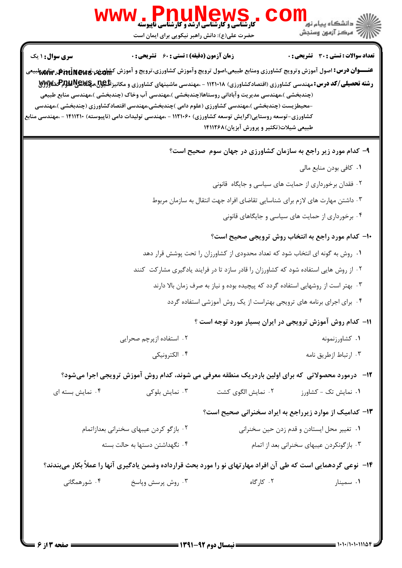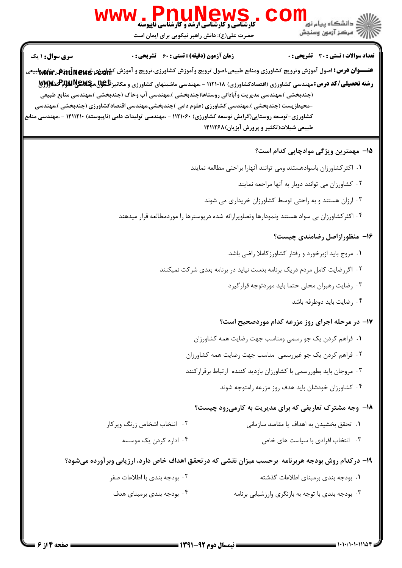

حضرت علی(ع): دانش راهبر نیکویی برای ایمان است

**تعداد سوالات : تستی : 30 ٪ تشریحی : 0** 

**زمان آزمون (دقیقه) : تستی : 60 گشریحی: 0** 

<del>عنــــوان درس:</del> اصول آموزش وترويج كشاورزي ومنابع طبيعي،اصول ترويج وآموزش كشاورزي،ترويج و آموزش ك<del>شاهرفي،قموق Pit</del>ūne ب<del>هاهه</del>ا **رشته تحصیلی/کد درس: م**هندسی کشاورزی (اقتصادکشاورزی) ۱۱۲۱۰۱۸ - ،مهندسی ماشینهای کشاورزی و مکانیزالل<u>گولا، پولایالالل</u>پاکشاویزلایی (چندبخشي )،مهندسي مديريت وآباداني روستاها(چندبخشي )،مهندسي آب وخاک (چندبخشي )،مهندسي منابع طبيعي –محیطزیست (چندبخشی )،مهندسی کشاورزی (علوم دامی )چندبخشی،مهندسی اقتصادکشاورزی (چندبخشی )،مهندسی کشاورزی-توسعه روستایی(گرایش توسعه کشاورزی) ۱۱۲۱۰۶۰ - ،مهندسی تولیدات دامی (ناپیوسته) ۱۴۱۱۲۱۰ - ،مهندسی منابع طبیعی شیلات(تکثیر و پرورش آبزیان)۱۴۱۱۲۶۸

#### 1۵– مهمترین ویژگی موادچایی کدام است؟

- ٠١ اكثر كشاورزان باسوادهستند ومى توانند آنهارا براحتى مطالعه نمايند
	- ۰۲ کشاورزان می توانند دوبار به آنها مراجعه نمایند
	- ۰۳ ارزان هستند و به راحتی توسط کشاورزان خریداری می شوند
- ۰۴ اکثر کشاورزان بی سواد هستند ونمودارها وتصاویرارائه شده درپوسترها را موردمطالعه قرار میدهند

#### ۱۶- منظورازاصل رضامندی چیست؟

- ۰۱ مروج باید ازبرخورد و رفتار کشاورزکاملا راضی باشد.
- ۰۲ اگر رضایت کامل مردم در یک برنامه بدست نیاید در برنامه بعدی شرکت نمیکنند
	- ۰۳ رضایت رهبران محلی حتما باید موردتوجه قرارگیرد
		- ۰۴ رضایت باید دوطرفه باشد

#### ۱۷– در مرحله اجرای روز مزرعه کدام موردصحیح است؟

- ٠١ فراهم كردن يك جو رسمي ومناسب جهت رضايت همه كشاورزان
- ٠٢ فراهم كردن يك جو غيررسمي مناسب جهت رضايت همه كشاورزان
- ۰۳ مروجان باید بطوررسمی با کشاورزان بازدید کننده ارتباط برقرارکنند
	- ۰۴ کشاورزان خودشان باید هدف روز مزرعه رامتوجه شوند

#### **۱۸- وجه مشترک تعاریفی که برای مدیریت به کارمیرود چیست**؟

| ۰۲ انتخاب اشخاص زرنگ وپرکار | ۰۱ تحقق بخشیدن به اهداف یا مقاصد سازمانی |
|-----------------------------|------------------------------------------|
|                             |                                          |

۰۳ انتخاب افرادی با سیاست های خاص

## 19- درکدام روش بودجه هربرنامه ۖ برحسب میزان نقشی که در تحقق اهداف خاص دارد، ارزیابی وبر آورده می شود؟

۰۴ اداره کردن یک موسسه

| ۰۲ بودجه بندی با اطلاعات صفر | ۰۱ بودجه بندی برمبنای اطلاعات گذشته               |
|------------------------------|---------------------------------------------------|
| ۰۴ بودجه بندی برمبنای هدف    | ۰۳ بودجه بندی با توجه به بازنگری وارزشیابی برنامه |

سری سوال: ۱ یک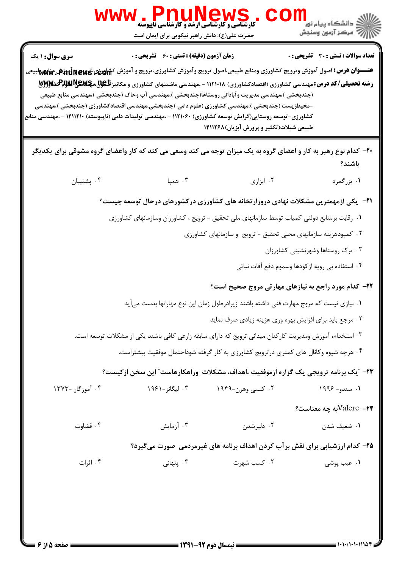|                                                                                                                                                                          | ، یہ کا ایک ایک ایک ایک ایوستہ<br>کارشناسی و کارشناسی ارشد و کارشناسی ناپیوسته<br>حضرت علی(ع): دانش راهبر نیکویی برای ایمان است |                                                                                                                                                                                                                                                | ≦ دانشگاه پیام نو <mark>ر</mark><br>سنجش آزمون وسنجش |
|--------------------------------------------------------------------------------------------------------------------------------------------------------------------------|---------------------------------------------------------------------------------------------------------------------------------|------------------------------------------------------------------------------------------------------------------------------------------------------------------------------------------------------------------------------------------------|------------------------------------------------------|
| سری سوال: ۱ یک<br><del>عنــــوان درس:</del> اصول آموزش وترويج كشاورزى ومنابع طبيعى،اصول ترويج وآموزش كشاورزى،ترويج و آموزش ك <del>شاهرفى،قرودى Pil</del> u وتشريف باللهج | زمان آزمون (دقیقه) : تستی : 60 ٪ تشریحی : 0                                                                                     | <b>رشته تحصیلی/کد درس:</b> مهندسی کشاورزی (اقتصادکشاورزی) ۱۱۲۱۰۱۸ - ،مهندسی ماشینهای کشاورزی و مکانیز <b>تلیپل پرلایلولپلاپلاپلاپلا</b> لالای پر                                                                                               | تعداد سوالات : تستى : 30 ٪ تشريحي : 0                |
| کشاورزی-توسعه روستایی(گرایش توسعه کشاورزی) ۱۱۲۱۰۶۰ - ،مهندسی تولیدات دامی (ناپیوسته) ۱۴۱۱۲۱۰ - ،مهندسی منابع                                                             |                                                                                                                                 | (چندبخشی )،مهندسی مدیریت وآبادانی روستاها(چندبخشی )،مهندسی آب وخاک (چندبخشی )،مهندسی منابع طبیعی<br>-محیطزیست (چندبخشی )،مهندسی کشاورزی (علوم دامی )چندبخشی،مهندسی اقتصادکشاورزی (چندبخشی )،مهندسی<br>طبیعی شیلات(تکثیر و پرورش آبزیان)۱۴۱۱۲۶۸ |                                                      |
| +۲- کدام نوع رهبر به کار و اعضای گروه به یک میزان توجه می کند وسعی می کند که کار واعضای گروه مشوقی برای یکدیگر                                                           |                                                                                                                                 |                                                                                                                                                                                                                                                | باشند؟                                               |
| ۰۴ پشتيبان                                                                                                                                                               | ۰۳ همپا                                                                                                                         | ۰۲ ابزاری                                                                                                                                                                                                                                      | ۰۱ بزرگمرد                                           |
|                                                                                                                                                                          |                                                                                                                                 | <b>۲۱</b> - یکی ازمهمترین مشکلات نهادی دروزارتخانه های کشاورزی درکشورهای درحال توسعه چیست؟                                                                                                                                                     |                                                      |
|                                                                                                                                                                          |                                                                                                                                 | ۰۱ رقابت برمنابع دولتی کمیاب توسط سازمانهای ملی تحقیق - ترویج ، کشاورزان وسازمانهای کشاورزی                                                                                                                                                    |                                                      |
|                                                                                                                                                                          |                                                                                                                                 | ۰۲ کمبودهزینه سازمانهای محلی تحقیق - ترویج و سازمانهای کشاورزی                                                                                                                                                                                 |                                                      |
|                                                                                                                                                                          |                                                                                                                                 |                                                                                                                                                                                                                                                | ۰۳ ترک روستاها وشهرنشینی کشاورزان                    |
|                                                                                                                                                                          |                                                                                                                                 |                                                                                                                                                                                                                                                | ۰۴ استفاده بی رویه ازکودها وسموم دفع آفات نباتی      |
|                                                                                                                                                                          |                                                                                                                                 | ۲۲- کدام مورد راجع به نیازهای مهارتی مروج صحیح است؟                                                                                                                                                                                            |                                                      |
|                                                                                                                                                                          |                                                                                                                                 | ۰۱ نیازی نیست که مروج مهارت فنی داشته باشند زیرادرطول زمان این نوع مهارتها بدست میآید                                                                                                                                                          |                                                      |
|                                                                                                                                                                          |                                                                                                                                 | ۰۲ مرجع باید برای افزایش بهره وری هزینه زیادی صرف نماید                                                                                                                                                                                        |                                                      |
|                                                                                                                                                                          |                                                                                                                                 | ۰۳ استخدام، آموزش ومدیریت کارکنان میدانی ترویج که دارای سابقه زارعی کافی باشند یکی از مشکلات توسعه است.                                                                                                                                        |                                                      |
|                                                                                                                                                                          |                                                                                                                                 | ۰۴ هرچه شیوه وکانال های کمتری درترویج کشاورزی به کار گرفته شوداحتمال موفقیت بیشتراست.                                                                                                                                                          |                                                      |
|                                                                                                                                                                          |                                                                                                                                 | <b>۲۳</b> – "یک برنامه ترویجی یک گزاره ازموفقیت ،اهداف، مشکلات  وراهکارهاست″ این سخن ازکیست؟                                                                                                                                                   |                                                      |
| ۰۴ آموزگار –۱۳۷۳                                                                                                                                                         | ۰۳ لیگانز -۱۹۶۱                                                                                                                 | ۰۲ کلسی وهرن-۱۹۴۹                                                                                                                                                                                                                              | ۱. سندو- ۱۹۹۶                                        |
|                                                                                                                                                                          |                                                                                                                                 |                                                                                                                                                                                                                                                | $\%$ ابه چه معناست؟                                  |
| ۰۴ قضاوت                                                                                                                                                                 | ۰۳ آزمایش                                                                                                                       | ۰۲ دلیرشدن                                                                                                                                                                                                                                     | ۰۱ ضعیف شدن                                          |
|                                                                                                                                                                          |                                                                                                                                 | ۲۵- کدام ارزشیابی برای نقش برآب کردن اهداف برنامه های غیرمردمی صورت میگیرد؟                                                                                                                                                                    |                                                      |
| ۰۴ اثرات                                                                                                                                                                 | ۰۳ پنهانی                                                                                                                       | ۰۲ کسب شهرت                                                                                                                                                                                                                                    | ۰۱ عیب پوشی                                          |
|                                                                                                                                                                          |                                                                                                                                 |                                                                                                                                                                                                                                                |                                                      |
|                                                                                                                                                                          |                                                                                                                                 |                                                                                                                                                                                                                                                |                                                      |
|                                                                                                                                                                          |                                                                                                                                 |                                                                                                                                                                                                                                                |                                                      |
|                                                                                                                                                                          |                                                                                                                                 |                                                                                                                                                                                                                                                |                                                      |